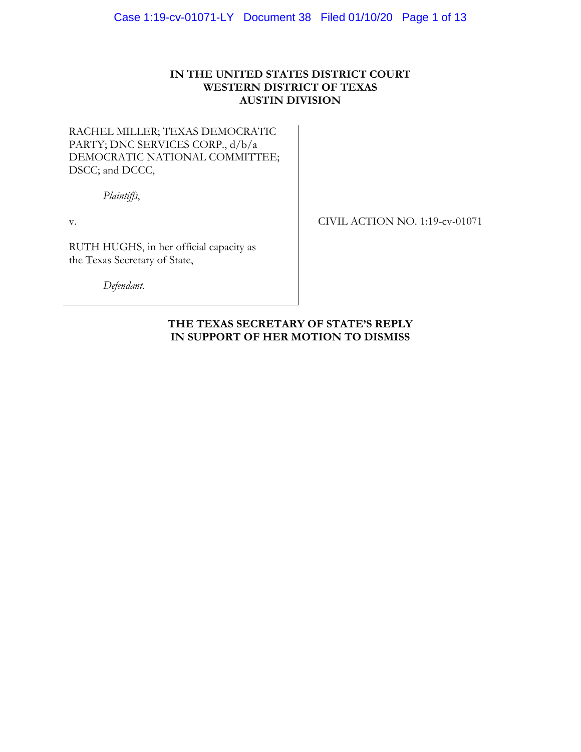# **IN THE UNITED STATES DISTRICT COURT WESTERN DISTRICT OF TEXAS AUSTIN DIVISION**

# RACHEL MILLER; TEXAS DEMOCRATIC PARTY; DNC SERVICES CORP., d/b/a DEMOCRATIC NATIONAL COMMITTEE; DSCC; and DCCC,

*Plaintiffs*,

v.

CIVIL ACTION NO. 1:19-cv-01071

RUTH HUGHS, in her official capacity as the Texas Secretary of State,

*Defendant.* 

**THE TEXAS SECRETARY OF STATE'S REPLY IN SUPPORT OF HER MOTION TO DISMISS**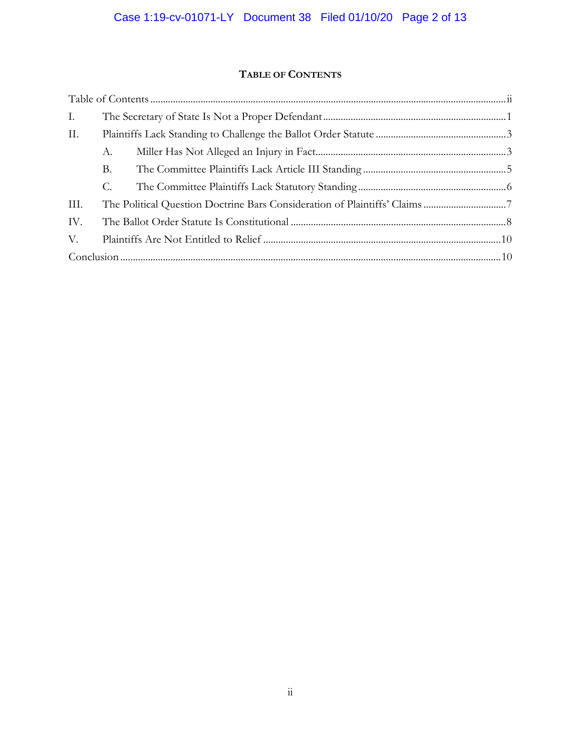# **TABLE OF CONTENTS**

| Ι.   |    |  |  |
|------|----|--|--|
| II.  |    |  |  |
|      | А. |  |  |
|      | Β. |  |  |
|      | C. |  |  |
| III. |    |  |  |
| IV.  |    |  |  |
| V.   |    |  |  |
|      |    |  |  |
|      |    |  |  |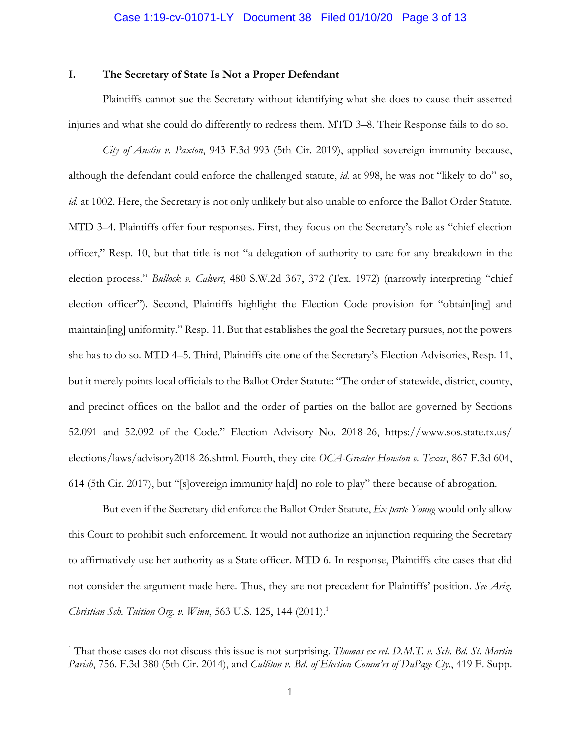#### **I. The Secretary of State Is Not a Proper Defendant**

Plaintiffs cannot sue the Secretary without identifying what she does to cause their asserted injuries and what she could do differently to redress them. MTD 3–8. Their Response fails to do so.

*City of Austin v. Paxton*, 943 F.3d 993 (5th Cir. 2019), applied sovereign immunity because, although the defendant could enforce the challenged statute, *id.* at 998, he was not "likely to do" so, *id.* at 1002. Here, the Secretary is not only unlikely but also unable to enforce the Ballot Order Statute. MTD 3–4. Plaintiffs offer four responses. First, they focus on the Secretary's role as "chief election officer," Resp. 10, but that title is not "a delegation of authority to care for any breakdown in the election process." *Bullock v. Calvert*, 480 S.W.2d 367, 372 (Tex. 1972) (narrowly interpreting "chief election officer"). Second, Plaintiffs highlight the Election Code provision for "obtain[ing] and maintain[ing] uniformity." Resp. 11. But that establishes the goal the Secretary pursues, not the powers she has to do so. MTD 4–5. Third, Plaintiffs cite one of the Secretary's Election Advisories, Resp. 11, but it merely points local officials to the Ballot Order Statute: "The order of statewide, district, county, and precinct offices on the ballot and the order of parties on the ballot are governed by Sections 52.091 and 52.092 of the Code." Election Advisory No. 2018-26, https://www.sos.state.tx.us/ elections/laws/advisory2018-26.shtml. Fourth, they cite *OCA-Greater Houston v. Texas*, 867 F.3d 604, 614 (5th Cir. 2017), but "[s]overeign immunity ha[d] no role to play" there because of abrogation.

But even if the Secretary did enforce the Ballot Order Statute, *Ex parte Young* would only allow this Court to prohibit such enforcement. It would not authorize an injunction requiring the Secretary to affirmatively use her authority as a State officer. MTD 6. In response, Plaintiffs cite cases that did not consider the argument made here. Thus, they are not precedent for Plaintiffs' position. *See Ariz. Christian Sch. Tuition Org. v. Winn*, 563 U.S. 125, 144 (2011).<sup>1</sup>

 $\overline{a}$ 

<sup>&</sup>lt;sup>1</sup> That those cases do not discuss this issue is not surprising. *Thomas ex rel. D.M.T. v. Sch. Bd. St. Martin Parish*, 756. F.3d 380 (5th Cir. 2014), and *Culliton v. Bd. of Election Comm'rs of DuPage Cty.*, 419 F. Supp.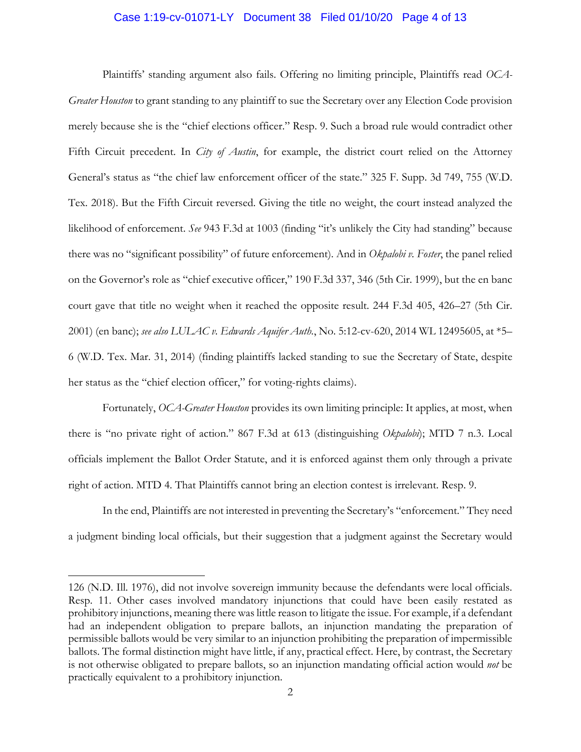## Case 1:19-cv-01071-LY Document 38 Filed 01/10/20 Page 4 of 13

Plaintiffs' standing argument also fails. Offering no limiting principle, Plaintiffs read *OCA-Greater Houston* to grant standing to any plaintiff to sue the Secretary over any Election Code provision merely because she is the "chief elections officer." Resp. 9. Such a broad rule would contradict other Fifth Circuit precedent. In *City of Austin*, for example, the district court relied on the Attorney General's status as "the chief law enforcement officer of the state." 325 F. Supp. 3d 749, 755 (W.D. Tex. 2018). But the Fifth Circuit reversed. Giving the title no weight, the court instead analyzed the likelihood of enforcement. *See* 943 F.3d at 1003 (finding "it's unlikely the City had standing" because there was no "significant possibility" of future enforcement). And in *Okpalobi v. Foster*, the panel relied on the Governor's role as "chief executive officer," 190 F.3d 337, 346 (5th Cir. 1999), but the en banc court gave that title no weight when it reached the opposite result. 244 F.3d 405, 426–27 (5th Cir. 2001) (en banc); *see also LULAC v. Edwards Aquifer Auth.*, No. 5:12-cv-620, 2014 WL 12495605, at \*5– 6 (W.D. Tex. Mar. 31, 2014) (finding plaintiffs lacked standing to sue the Secretary of State, despite her status as the "chief election officer," for voting-rights claims).

Fortunately, *OCA-Greater Houston* provides its own limiting principle: It applies, at most, when there is "no private right of action." 867 F.3d at 613 (distinguishing *Okpalobi*); MTD 7 n.3. Local officials implement the Ballot Order Statute, and it is enforced against them only through a private right of action. MTD 4. That Plaintiffs cannot bring an election contest is irrelevant. Resp. 9.

In the end, Plaintiffs are not interested in preventing the Secretary's "enforcement." They need a judgment binding local officials, but their suggestion that a judgment against the Secretary would

 $\overline{a}$ 

<sup>126 (</sup>N.D. Ill. 1976), did not involve sovereign immunity because the defendants were local officials. Resp. 11. Other cases involved mandatory injunctions that could have been easily restated as prohibitory injunctions, meaning there was little reason to litigate the issue. For example, if a defendant had an independent obligation to prepare ballots, an injunction mandating the preparation of permissible ballots would be very similar to an injunction prohibiting the preparation of impermissible ballots. The formal distinction might have little, if any, practical effect. Here, by contrast, the Secretary is not otherwise obligated to prepare ballots, so an injunction mandating official action would *not* be practically equivalent to a prohibitory injunction.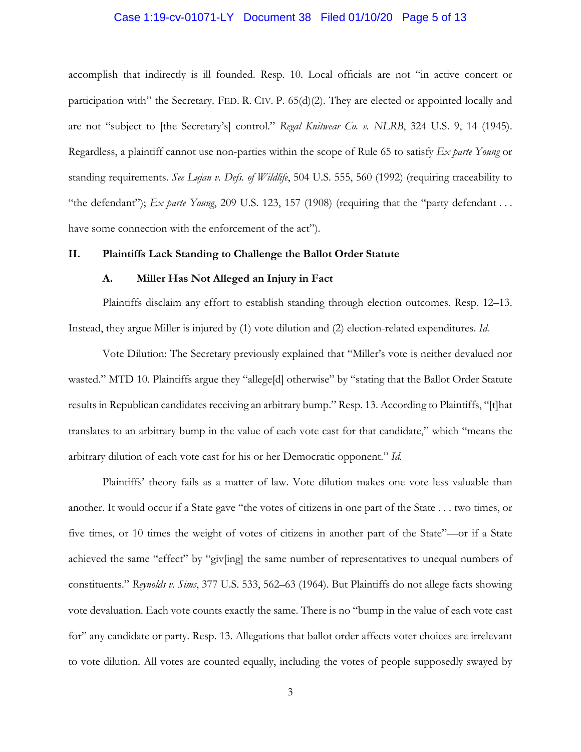#### Case 1:19-cv-01071-LY Document 38 Filed 01/10/20 Page 5 of 13

accomplish that indirectly is ill founded. Resp. 10. Local officials are not "in active concert or participation with" the Secretary. FED. R. CIV. P. 65(d)(2). They are elected or appointed locally and are not "subject to [the Secretary's] control." *Regal Knitwear Co. v. NLRB*, 324 U.S. 9, 14 (1945). Regardless, a plaintiff cannot use non-parties within the scope of Rule 65 to satisfy *Ex parte Young* or standing requirements. *See Lujan v. Defs. of Wildlife*, 504 U.S. 555, 560 (1992) (requiring traceability to "the defendant"); *Ex parte Young*, 209 U.S. 123, 157 (1908) (requiring that the "party defendant . . . have some connection with the enforcement of the act").

#### **II. Plaintiffs Lack Standing to Challenge the Ballot Order Statute**

#### **A. Miller Has Not Alleged an Injury in Fact**

Plaintiffs disclaim any effort to establish standing through election outcomes. Resp. 12–13. Instead, they argue Miller is injured by (1) vote dilution and (2) election-related expenditures. *Id.*

Vote Dilution: The Secretary previously explained that "Miller's vote is neither devalued nor wasted." MTD 10. Plaintiffs argue they "allege<sup>[d]</sup> otherwise" by "stating that the Ballot Order Statute results in Republican candidates receiving an arbitrary bump." Resp. 13. According to Plaintiffs, "[t]hat translates to an arbitrary bump in the value of each vote cast for that candidate," which "means the arbitrary dilution of each vote cast for his or her Democratic opponent." *Id.*

Plaintiffs' theory fails as a matter of law. Vote dilution makes one vote less valuable than another. It would occur if a State gave "the votes of citizens in one part of the State . . . two times, or five times, or 10 times the weight of votes of citizens in another part of the State"—or if a State achieved the same "effect" by "giv[ing] the same number of representatives to unequal numbers of constituents." *Reynolds v. Sims*, 377 U.S. 533, 562–63 (1964). But Plaintiffs do not allege facts showing vote devaluation. Each vote counts exactly the same. There is no "bump in the value of each vote cast for" any candidate or party. Resp. 13. Allegations that ballot order affects voter choices are irrelevant to vote dilution. All votes are counted equally, including the votes of people supposedly swayed by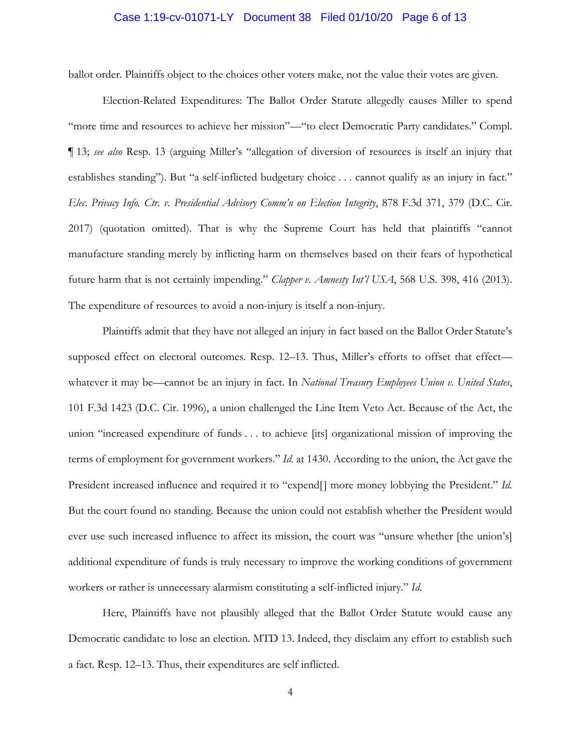## Case 1:19-cv-01071-LY Document 38 Filed 01/10/20 Page 6 of 13

ballot order. Plaintiffs object to the choices other voters make, not the value their votes are given.

Election-Related Expenditures: The Ballot Order Statute allegedly causes Miller to spend "more time and resources to achieve her mission"—"to elect Democratic Party candidates." Compl. ¶ 13; *see also* Resp. 13 (arguing Miller's "allegation of diversion of resources is itself an injury that establishes standing"). But "a self-inflicted budgetary choice . . . cannot qualify as an injury in fact." *Elec. Privacy Info. Ctr. v. Presidential Advisory Comm'n on Election Integrity*, 878 F.3d 371, 379 (D.C. Cir. 2017) (quotation omitted). That is why the Supreme Court has held that plaintiffs "cannot manufacture standing merely by inflicting harm on themselves based on their fears of hypothetical future harm that is not certainly impending." *Clapper v. Amnesty Int'l USA*, 568 U.S. 398, 416 (2013). The expenditure of resources to avoid a non-injury is itself a non-injury.

Plaintiffs admit that they have not alleged an injury in fact based on the Ballot Order Statute's supposed effect on electoral outcomes. Resp. 12–13. Thus, Miller's efforts to offset that effect whatever it may be—cannot be an injury in fact. In *National Treasury Employees Union v. United States*, 101 F.3d 1423 (D.C. Cir. 1996), a union challenged the Line Item Veto Act. Because of the Act, the union "increased expenditure of funds . . . to achieve [its] organizational mission of improving the terms of employment for government workers." *Id.* at 1430. According to the union, the Act gave the President increased influence and required it to "expend[] more money lobbying the President." *Id.*  But the court found no standing. Because the union could not establish whether the President would ever use such increased influence to affect its mission, the court was "unsure whether [the union's] additional expenditure of funds is truly necessary to improve the working conditions of government workers or rather is unnecessary alarmism constituting a self-inflicted injury." *Id.*

Here, Plaintiffs have not plausibly alleged that the Ballot Order Statute would cause any Democratic candidate to lose an election. MTD 13. Indeed, they disclaim any effort to establish such a fact. Resp. 12–13. Thus, their expenditures are self inflicted.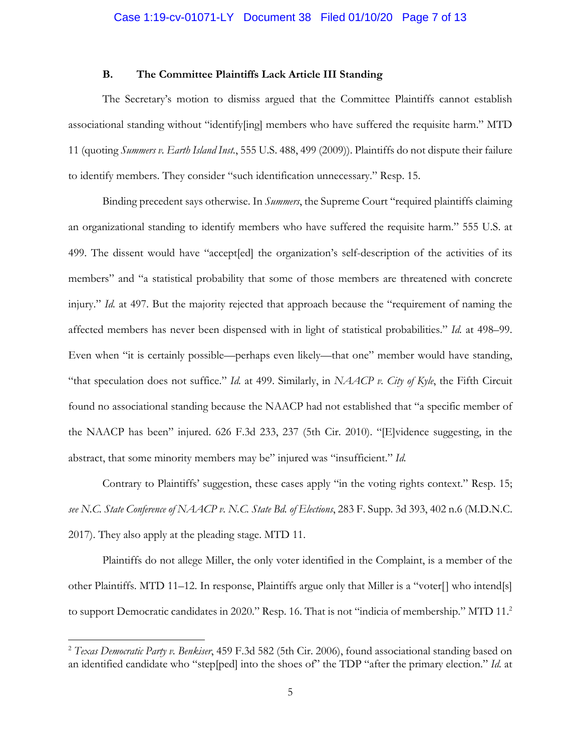#### **B. The Committee Plaintiffs Lack Article III Standing**

The Secretary's motion to dismiss argued that the Committee Plaintiffs cannot establish associational standing without "identify[ing] members who have suffered the requisite harm." MTD 11 (quoting *Summers v. Earth Island Inst.*, 555 U.S. 488, 499 (2009)). Plaintiffs do not dispute their failure to identify members. They consider "such identification unnecessary." Resp. 15.

Binding precedent says otherwise. In *Summers*, the Supreme Court "required plaintiffs claiming an organizational standing to identify members who have suffered the requisite harm." 555 U.S. at 499. The dissent would have "accept[ed] the organization's self-description of the activities of its members" and "a statistical probability that some of those members are threatened with concrete injury." *Id.* at 497. But the majority rejected that approach because the "requirement of naming the affected members has never been dispensed with in light of statistical probabilities." *Id.* at 498–99. Even when "it is certainly possible—perhaps even likely—that one" member would have standing, "that speculation does not suffice." *Id.* at 499. Similarly, in *NAACP v. City of Kyle*, the Fifth Circuit found no associational standing because the NAACP had not established that "a specific member of the NAACP has been" injured. 626 F.3d 233, 237 (5th Cir. 2010). "[E]vidence suggesting, in the abstract, that some minority members may be" injured was "insufficient." *Id.*

Contrary to Plaintiffs' suggestion, these cases apply "in the voting rights context." Resp. 15; *see N.C. State Conference of NAACP v. N.C. State Bd. of Elections*, 283 F. Supp. 3d 393, 402 n.6 (M.D.N.C. 2017). They also apply at the pleading stage. MTD 11.

Plaintiffs do not allege Miller, the only voter identified in the Complaint, is a member of the other Plaintiffs. MTD 11–12. In response, Plaintiffs argue only that Miller is a "voter[] who intend[s] to support Democratic candidates in 2020." Resp. 16. That is not "indicia of membership." MTD 11.<sup>2</sup>

1

<sup>2</sup> *Texas Democratic Party v. Benkiser*, 459 F.3d 582 (5th Cir. 2006), found associational standing based on an identified candidate who "step[ped] into the shoes of" the TDP "after the primary election." *Id.* at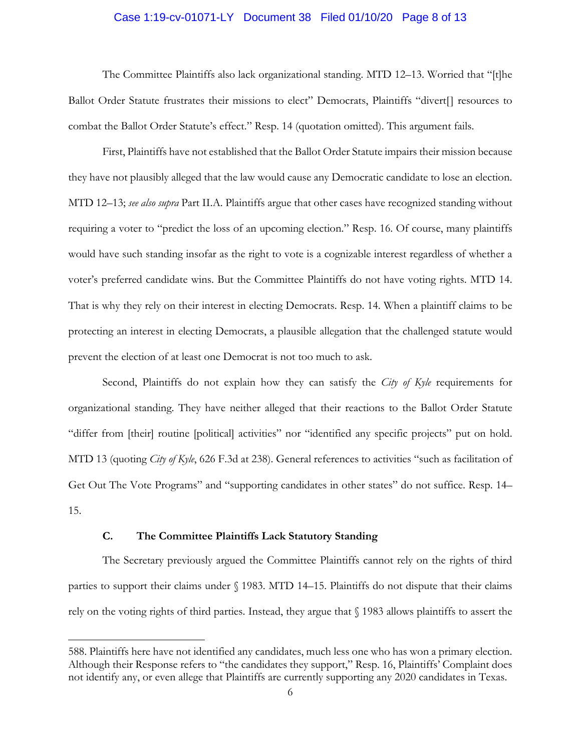## Case 1:19-cv-01071-LY Document 38 Filed 01/10/20 Page 8 of 13

The Committee Plaintiffs also lack organizational standing. MTD 12–13. Worried that "[t]he Ballot Order Statute frustrates their missions to elect" Democrats, Plaintiffs "divert[] resources to combat the Ballot Order Statute's effect." Resp. 14 (quotation omitted). This argument fails.

First, Plaintiffs have not established that the Ballot Order Statute impairs their mission because they have not plausibly alleged that the law would cause any Democratic candidate to lose an election. MTD 12–13; *see also supra* Part II.A. Plaintiffs argue that other cases have recognized standing without requiring a voter to "predict the loss of an upcoming election." Resp. 16. Of course, many plaintiffs would have such standing insofar as the right to vote is a cognizable interest regardless of whether a voter's preferred candidate wins. But the Committee Plaintiffs do not have voting rights. MTD 14. That is why they rely on their interest in electing Democrats. Resp. 14. When a plaintiff claims to be protecting an interest in electing Democrats, a plausible allegation that the challenged statute would prevent the election of at least one Democrat is not too much to ask.

Second, Plaintiffs do not explain how they can satisfy the *City of Kyle* requirements for organizational standing. They have neither alleged that their reactions to the Ballot Order Statute "differ from [their] routine [political] activities" nor "identified any specific projects" put on hold. MTD 13 (quoting *City of Kyle*, 626 F.3d at 238). General references to activities "such as facilitation of Get Out The Vote Programs" and "supporting candidates in other states" do not suffice. Resp. 14– 15.

## **C. The Committee Plaintiffs Lack Statutory Standing**

 $\overline{a}$ 

The Secretary previously argued the Committee Plaintiffs cannot rely on the rights of third parties to support their claims under § 1983. MTD 14–15. Plaintiffs do not dispute that their claims rely on the voting rights of third parties. Instead, they argue that § 1983 allows plaintiffs to assert the

<sup>588.</sup> Plaintiffs here have not identified any candidates, much less one who has won a primary election. Although their Response refers to "the candidates they support," Resp. 16, Plaintiffs' Complaint does not identify any, or even allege that Plaintiffs are currently supporting any 2020 candidates in Texas.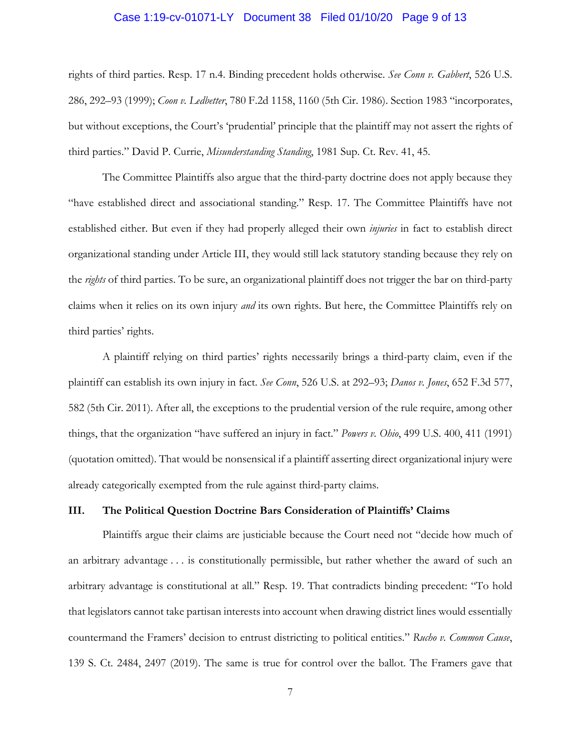#### Case 1:19-cv-01071-LY Document 38 Filed 01/10/20 Page 9 of 13

rights of third parties. Resp. 17 n.4. Binding precedent holds otherwise. *See Conn v. Gabbert*, 526 U.S. 286, 292–93 (1999); *Coon v. Ledbetter*, 780 F.2d 1158, 1160 (5th Cir. 1986). Section 1983 "incorporates, but without exceptions, the Court's 'prudential' principle that the plaintiff may not assert the rights of third parties." David P. Currie, *Misunderstanding Standing*, 1981 Sup. Ct. Rev. 41, 45.

The Committee Plaintiffs also argue that the third-party doctrine does not apply because they "have established direct and associational standing." Resp. 17. The Committee Plaintiffs have not established either. But even if they had properly alleged their own *injuries* in fact to establish direct organizational standing under Article III, they would still lack statutory standing because they rely on the *rights* of third parties. To be sure, an organizational plaintiff does not trigger the bar on third-party claims when it relies on its own injury *and* its own rights. But here, the Committee Plaintiffs rely on third parties' rights.

A plaintiff relying on third parties' rights necessarily brings a third-party claim, even if the plaintiff can establish its own injury in fact. *See Conn*, 526 U.S. at 292–93; *Danos v. Jones*, 652 F.3d 577, 582 (5th Cir. 2011). After all, the exceptions to the prudential version of the rule require, among other things, that the organization "have suffered an injury in fact." *Powers v. Ohio*, 499 U.S. 400, 411 (1991) (quotation omitted). That would be nonsensical if a plaintiff asserting direct organizational injury were already categorically exempted from the rule against third-party claims.

#### **III. The Political Question Doctrine Bars Consideration of Plaintiffs' Claims**

Plaintiffs argue their claims are justiciable because the Court need not "decide how much of an arbitrary advantage . . . is constitutionally permissible, but rather whether the award of such an arbitrary advantage is constitutional at all." Resp. 19. That contradicts binding precedent: "To hold that legislators cannot take partisan interests into account when drawing district lines would essentially countermand the Framers' decision to entrust districting to political entities." *Rucho v. Common Cause*, 139 S. Ct. 2484, 2497 (2019). The same is true for control over the ballot. The Framers gave that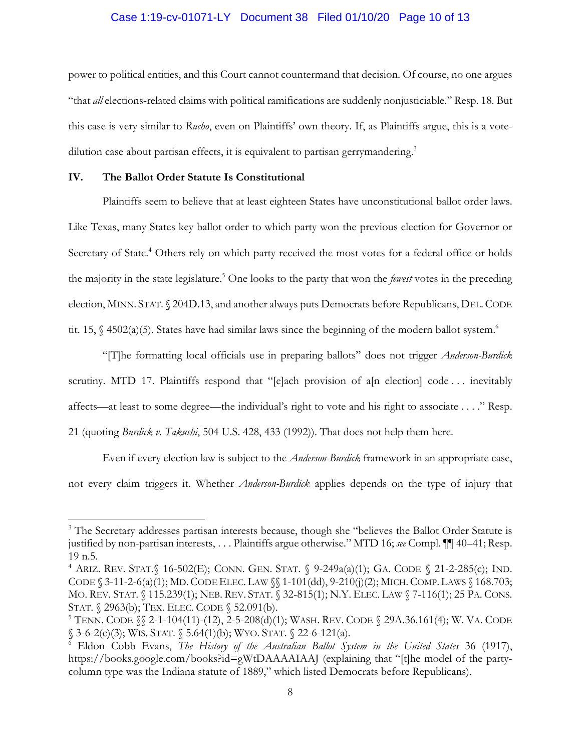## Case 1:19-cv-01071-LY Document 38 Filed 01/10/20 Page 10 of 13

power to political entities, and this Court cannot countermand that decision. Of course, no one argues "that *all* elections-related claims with political ramifications are suddenly nonjusticiable." Resp. 18. But this case is very similar to *Rucho*, even on Plaintiffs' own theory. If, as Plaintiffs argue, this is a votedilution case about partisan effects, it is equivalent to partisan gerrymandering.<sup>3</sup>

#### **IV. The Ballot Order Statute Is Constitutional**

 $\overline{a}$ 

Plaintiffs seem to believe that at least eighteen States have unconstitutional ballot order laws. Like Texas, many States key ballot order to which party won the previous election for Governor or Secretary of State.<sup>4</sup> Others rely on which party received the most votes for a federal office or holds the majority in the state legislature.<sup>5</sup> One looks to the party that won the *fewest* votes in the preceding election, MINN. STAT. § 204D.13, and another always puts Democrats before Republicans, DEL.CODE tit. 15,  $\frac{1}{5}$  4502(a)(5). States have had similar laws since the beginning of the modern ballot system.<sup>6</sup>

"[T]he formatting local officials use in preparing ballots" does not trigger *Anderson-Burdick* scrutiny. MTD 17. Plaintiffs respond that "[e]ach provision of a[n election] code ... inevitably affects—at least to some degree—the individual's right to vote and his right to associate . . . ." Resp. 21 (quoting *Burdick v. Takushi*, 504 U.S. 428, 433 (1992)). That does not help them here.

Even if every election law is subject to the *Anderson-Burdick* framework in an appropriate case, not every claim triggers it. Whether *Anderson-Burdick* applies depends on the type of injury that

<sup>&</sup>lt;sup>3</sup> The Secretary addresses partisan interests because, though she "believes the Ballot Order Statute is justified by non-partisan interests, . . . Plaintiffs argue otherwise." MTD 16; *see* Compl. ¶¶ 40–41; Resp. 19 n.5.

<sup>4</sup> ARIZ. REV. STAT.§ 16-502(E); CONN. GEN. STAT. § 9-249a(a)(1); GA. CODE § 21-2-285(c); IND. CODE § 3-11-2-6(a)(1); MD.CODE ELEC. LAW §§ 1-101(dd), 9-210(j)(2); MICH.COMP. LAWS § 168.703; MO. REV. STAT. § 115.239(1); NEB. REV. STAT. § 32-815(1); N.Y. ELEC. LAW § 7-116(1); 25 PA. CONS. STAT. § 2963(b); TEX. ELEC. CODE § 52.091(b).

<sup>&</sup>lt;sup>5</sup> TENN. CODE §§ 2-1-104(11)-(12), 2-5-208(d)(1); WASH. REV. CODE § 29A.36.161(4); W. VA. CODE  $§ 3-6-2(c)(3); WIS. STAT. \S 5.64(1)(b); WYO. STAT. \S 22-6-121(a).$ 

<sup>6</sup> Eldon Cobb Evans, *The History of the Australian Ballot System in the United States* 36 (1917), https://books.google.com/books?id=gWtDAAAAIAAJ (explaining that "[t]he model of the partycolumn type was the Indiana statute of 1889," which listed Democrats before Republicans).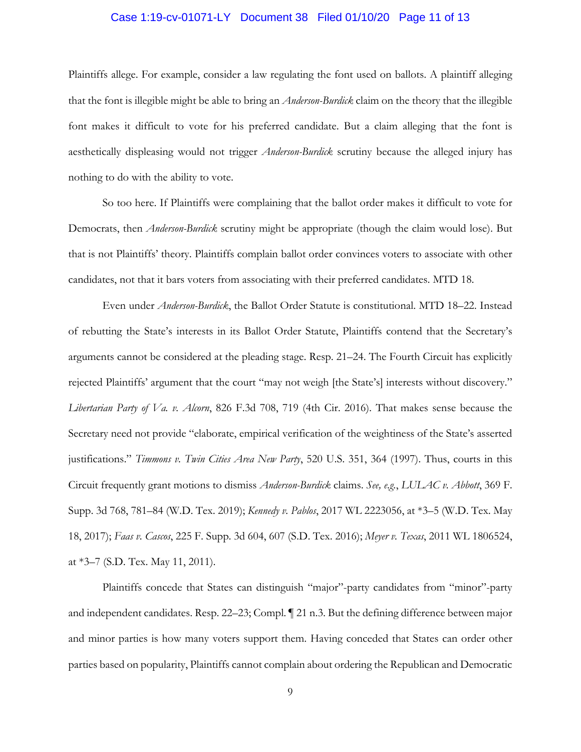## Case 1:19-cv-01071-LY Document 38 Filed 01/10/20 Page 11 of 13

Plaintiffs allege. For example, consider a law regulating the font used on ballots. A plaintiff alleging that the font is illegible might be able to bring an *Anderson-Burdick* claim on the theory that the illegible font makes it difficult to vote for his preferred candidate. But a claim alleging that the font is aesthetically displeasing would not trigger *Anderson-Burdick* scrutiny because the alleged injury has nothing to do with the ability to vote.

So too here. If Plaintiffs were complaining that the ballot order makes it difficult to vote for Democrats, then *Anderson-Burdick* scrutiny might be appropriate (though the claim would lose). But that is not Plaintiffs' theory. Plaintiffs complain ballot order convinces voters to associate with other candidates, not that it bars voters from associating with their preferred candidates. MTD 18.

Even under *Anderson-Burdick*, the Ballot Order Statute is constitutional. MTD 18–22. Instead of rebutting the State's interests in its Ballot Order Statute, Plaintiffs contend that the Secretary's arguments cannot be considered at the pleading stage. Resp. 21–24. The Fourth Circuit has explicitly rejected Plaintiffs' argument that the court "may not weigh [the State's] interests without discovery." *Libertarian Party of Va. v. Alcorn*, 826 F.3d 708, 719 (4th Cir. 2016). That makes sense because the Secretary need not provide "elaborate, empirical verification of the weightiness of the State's asserted justifications." *Timmons v. Twin Cities Area New Party*, 520 U.S. 351, 364 (1997). Thus, courts in this Circuit frequently grant motions to dismiss *Anderson-Burdick* claims. *See, e.g.*, *LULAC v. Abbott*, 369 F. Supp. 3d 768, 781–84 (W.D. Tex. 2019); *Kennedy v. Pablos*, 2017 WL 2223056, at \*3–5 (W.D. Tex. May 18, 2017); *Faas v. Cascos*, 225 F. Supp. 3d 604, 607 (S.D. Tex. 2016); *Meyer v. Texas*, 2011 WL 1806524, at \*3–7 (S.D. Tex. May 11, 2011).

Plaintiffs concede that States can distinguish "major"-party candidates from "minor"-party and independent candidates. Resp. 22–23; Compl. ¶ 21 n.3. But the defining difference between major and minor parties is how many voters support them. Having conceded that States can order other parties based on popularity, Plaintiffs cannot complain about ordering the Republican and Democratic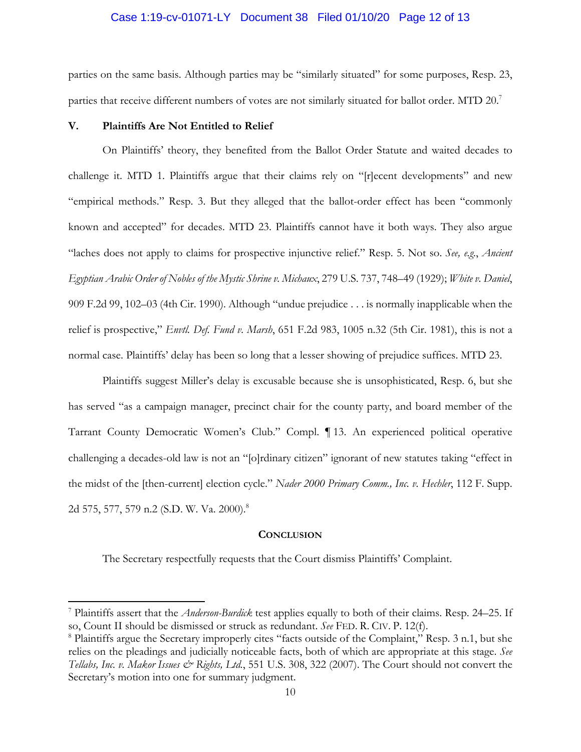## Case 1:19-cv-01071-LY Document 38 Filed 01/10/20 Page 12 of 13

parties on the same basis. Although parties may be "similarly situated" for some purposes, Resp. 23, parties that receive different numbers of votes are not similarly situated for ballot order. MTD 20.<sup>7</sup>

#### **V. Plaintiffs Are Not Entitled to Relief**

1

On Plaintiffs' theory, they benefited from the Ballot Order Statute and waited decades to challenge it. MTD 1. Plaintiffs argue that their claims rely on "[r]ecent developments" and new "empirical methods." Resp. 3. But they alleged that the ballot-order effect has been "commonly known and accepted" for decades. MTD 23. Plaintiffs cannot have it both ways. They also argue "laches does not apply to claims for prospective injunctive relief." Resp. 5. Not so. *See, e.g.*, *Ancient Egyptian Arabic Order of Nobles of the Mystic Shrine v. Michaux*, 279 U.S. 737, 748–49 (1929); *White v. Daniel*, 909 F.2d 99, 102–03 (4th Cir. 1990). Although "undue prejudice . . . is normally inapplicable when the relief is prospective," *Envtl. Def. Fund v. Marsh*, 651 F.2d 983, 1005 n.32 (5th Cir. 1981), this is not a normal case. Plaintiffs' delay has been so long that a lesser showing of prejudice suffices. MTD 23.

Plaintiffs suggest Miller's delay is excusable because she is unsophisticated, Resp. 6, but she has served "as a campaign manager, precinct chair for the county party, and board member of the Tarrant County Democratic Women's Club." Compl. ¶ 13. An experienced political operative challenging a decades-old law is not an "[o]rdinary citizen" ignorant of new statutes taking "effect in the midst of the [then-current] election cycle." *Nader 2000 Primary Comm., Inc. v. Hechler*, 112 F. Supp. 2d 575, 577, 579 n.2 (S.D. W. Va. 2000).<sup>8</sup>

#### **CONCLUSION**

The Secretary respectfully requests that the Court dismiss Plaintiffs' Complaint.

<sup>7</sup> Plaintiffs assert that the *Anderson-Burdick* test applies equally to both of their claims. Resp. 24–25. If so, Count II should be dismissed or struck as redundant. *See* FED. R. CIV. P. 12(f).

<sup>&</sup>lt;sup>8</sup> Plaintiffs argue the Secretary improperly cites "facts outside of the Complaint," Resp. 3 n.1, but she relies on the pleadings and judicially noticeable facts, both of which are appropriate at this stage. *See Tellabs, Inc. v. Makor Issues & Rights, Ltd.*, 551 U.S. 308, 322 (2007). The Court should not convert the Secretary's motion into one for summary judgment.